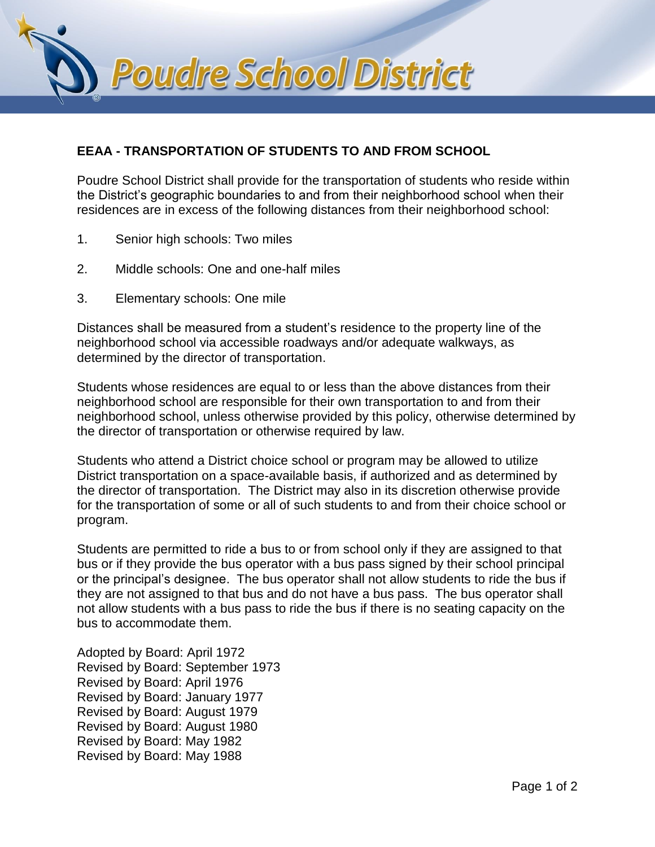

## **EEAA - TRANSPORTATION OF STUDENTS TO AND FROM SCHOOL**

Poudre School District shall provide for the transportation of students who reside within the District's geographic boundaries to and from their neighborhood school when their residences are in excess of the following distances from their neighborhood school:

- 1. Senior high schools: Two miles
- 2. Middle schools: One and one-half miles
- 3. Elementary schools: One mile

Distances shall be measured from a student's residence to the property line of the neighborhood school via accessible roadways and/or adequate walkways, as determined by the director of transportation.

Students whose residences are equal to or less than the above distances from their neighborhood school are responsible for their own transportation to and from their neighborhood school, unless otherwise provided by this policy, otherwise determined by the director of transportation or otherwise required by law.

Students who attend a District choice school or program may be allowed to utilize District transportation on a space-available basis, if authorized and as determined by the director of transportation. The District may also in its discretion otherwise provide for the transportation of some or all of such students to and from their choice school or program.

Students are permitted to ride a bus to or from school only if they are assigned to that bus or if they provide the bus operator with a bus pass signed by their school principal or the principal's designee. The bus operator shall not allow students to ride the bus if they are not assigned to that bus and do not have a bus pass. The bus operator shall not allow students with a bus pass to ride the bus if there is no seating capacity on the bus to accommodate them.

Adopted by Board: April 1972 Revised by Board: September 1973 Revised by Board: April 1976 Revised by Board: January 1977 Revised by Board: August 1979 Revised by Board: August 1980 Revised by Board: May 1982 Revised by Board: May 1988